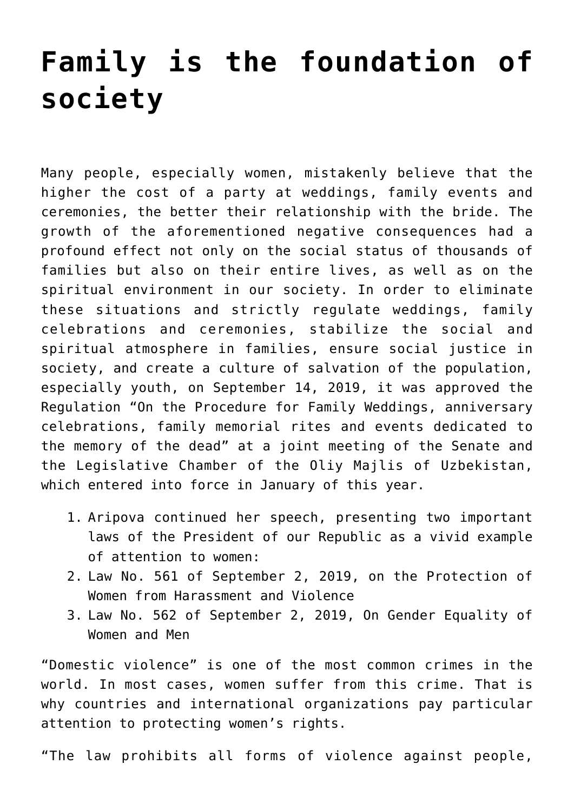## **[Family is the foundation of](https://polito.uz/6361/) [society](https://polito.uz/6361/)**

Many people, especially women, mistakenly believe that the higher the cost of a party at weddings, family events and ceremonies, the better their relationship with the bride. The growth of the aforementioned negative consequences had a profound effect not only on the social status of thousands of families but also on their entire lives, as well as on the spiritual environment in our society. In order to eliminate these situations and strictly regulate weddings, family celebrations and ceremonies, stabilize the social and spiritual atmosphere in families, ensure social justice in society, and create a culture of salvation of the population, especially youth, on September 14, 2019, it was approved the Regulation "On the Procedure for Family Weddings, anniversary celebrations, family memorial rites and events dedicated to the memory of the dead" at a joint meeting of the Senate and the Legislative Chamber of the Oliy Majlis of Uzbekistan, which entered into force in January of this year.

- 1. Aripova continued her speech, presenting two important laws of the President of our Republic as a vivid example of attention to women:
- 2. Law No. 561 of September 2, 2019, on the Protection of Women from Harassment and Violence
- 3. Law No. 562 of September 2, 2019, On Gender Equality of Women and Men

"Domestic violence" is one of the most common crimes in the world. In most cases, women suffer from this crime. That is why countries and international organizations pay particular attention to protecting women's rights.

"The law prohibits all forms of violence against people,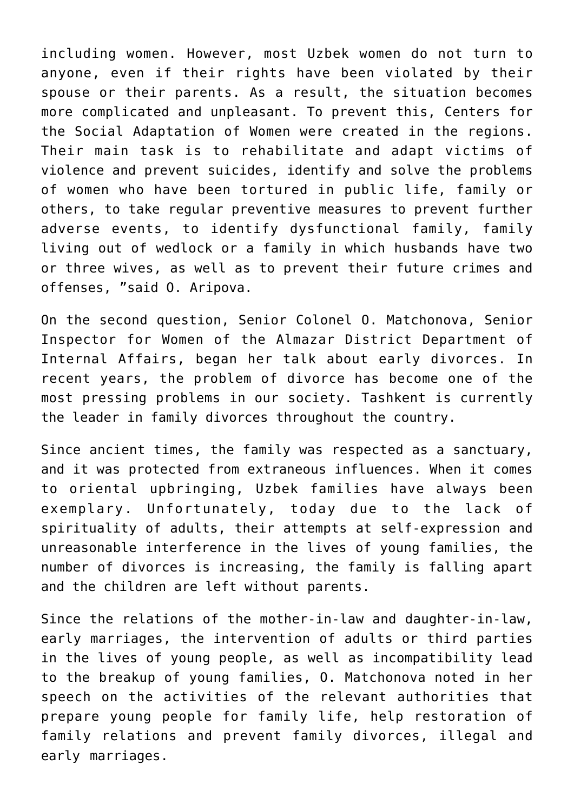including women. However, most Uzbek women do not turn to anyone, even if their rights have been violated by their spouse or their parents. As a result, the situation becomes more complicated and unpleasant. To prevent this, Centers for the Social Adaptation of Women were created in the regions. Their main task is to rehabilitate and adapt victims of violence and prevent suicides, identify and solve the problems of women who have been tortured in public life, family or others, to take regular preventive measures to prevent further adverse events, to identify dysfunctional family, family living out of wedlock or a family in which husbands have two or three wives, as well as to prevent their future crimes and offenses, "said O. Aripova.

On the second question, Senior Colonel O. Matchonova, Senior Inspector for Women of the Almazar District Department of Internal Affairs, began her talk about early divorces. In recent years, the problem of divorce has become one of the most pressing problems in our society. Tashkent is currently the leader in family divorces throughout the country.

Since ancient times, the family was respected as a sanctuary, and it was protected from extraneous influences. When it comes to oriental upbringing, Uzbek families have always been exemplary. Unfortunately, today due to the lack of spirituality of adults, their attempts at self-expression and unreasonable interference in the lives of young families, the number of divorces is increasing, the family is falling apart and the children are left without parents.

Since the relations of the mother-in-law and daughter-in-law, early marriages, the intervention of adults or third parties in the lives of young people, as well as incompatibility lead to the breakup of young families, O. Matchonova noted in her speech on the activities of the relevant authorities that prepare young people for family life, help restoration of family relations and prevent family divorces, illegal and early marriages.